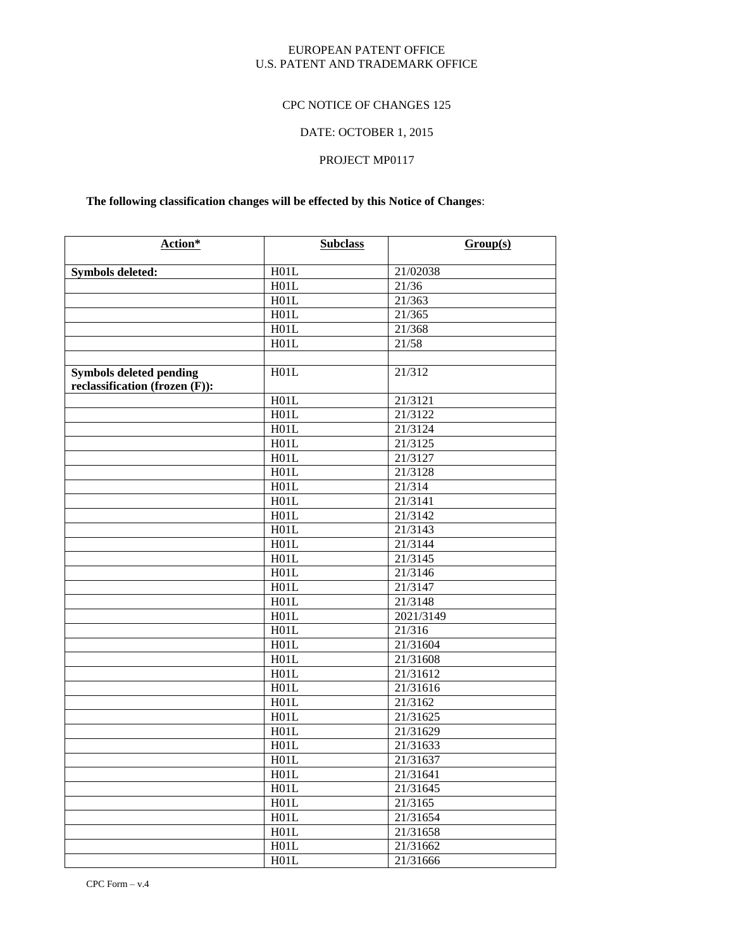### EUROPEAN PATENT OFFICE U.S. PATENT AND TRADEMARK OFFICE

## CPC NOTICE OF CHANGES 125

# DATE: OCTOBER 1, 2015

# PROJECT MP0117

# **The following classification changes will be effected by this Notice of Changes**:

| Action*                                                          | <b>Subclass</b>   | Group(s)  |
|------------------------------------------------------------------|-------------------|-----------|
| <b>Symbols deleted:</b>                                          | H01L              | 21/02038  |
|                                                                  | H01L              | 21/36     |
|                                                                  | H01L              | 21/363    |
|                                                                  | H01L              | 21/365    |
|                                                                  | H01L              | 21/368    |
|                                                                  | H01L              | 21/58     |
|                                                                  |                   |           |
| <b>Symbols deleted pending</b><br>reclassification (frozen (F)): | H01L              | 21/312    |
|                                                                  | H01L              | 21/3121   |
|                                                                  | H01L              | 21/3122   |
|                                                                  | H01L              | 21/3124   |
|                                                                  | H01L              | 21/3125   |
|                                                                  | H01L              | 21/3127   |
|                                                                  | H01L              | 21/3128   |
|                                                                  | H01L              | 21/314    |
|                                                                  | H01L              | 21/3141   |
|                                                                  | H01L              | 21/3142   |
|                                                                  | H01L              | 21/3143   |
|                                                                  | H01L              | 21/3144   |
|                                                                  | H01L              | 21/3145   |
|                                                                  | H01L              | 21/3146   |
|                                                                  | H01L              | 21/3147   |
|                                                                  | H01L              | 21/3148   |
|                                                                  | H01L              | 2021/3149 |
|                                                                  | H01L              | 21/316    |
|                                                                  | H01L              | 21/31604  |
|                                                                  | H01L              | 21/31608  |
|                                                                  | H01L              | 21/31612  |
|                                                                  | H01L              | 21/31616  |
|                                                                  | H01L              | 21/3162   |
|                                                                  | H01L              | 21/31625  |
|                                                                  | H01L              | 21/31629  |
|                                                                  | H01L              | 21/31633  |
|                                                                  | H01L              | 21/31637  |
|                                                                  | H <sub>0</sub> 1L | 21/31641  |
|                                                                  | H01L              | 21/31645  |
|                                                                  | H01L              | 21/3165   |
|                                                                  | H01L              | 21/31654  |
|                                                                  | H01L              | 21/31658  |
|                                                                  | H01L              | 21/31662  |
|                                                                  | H01L              | 21/31666  |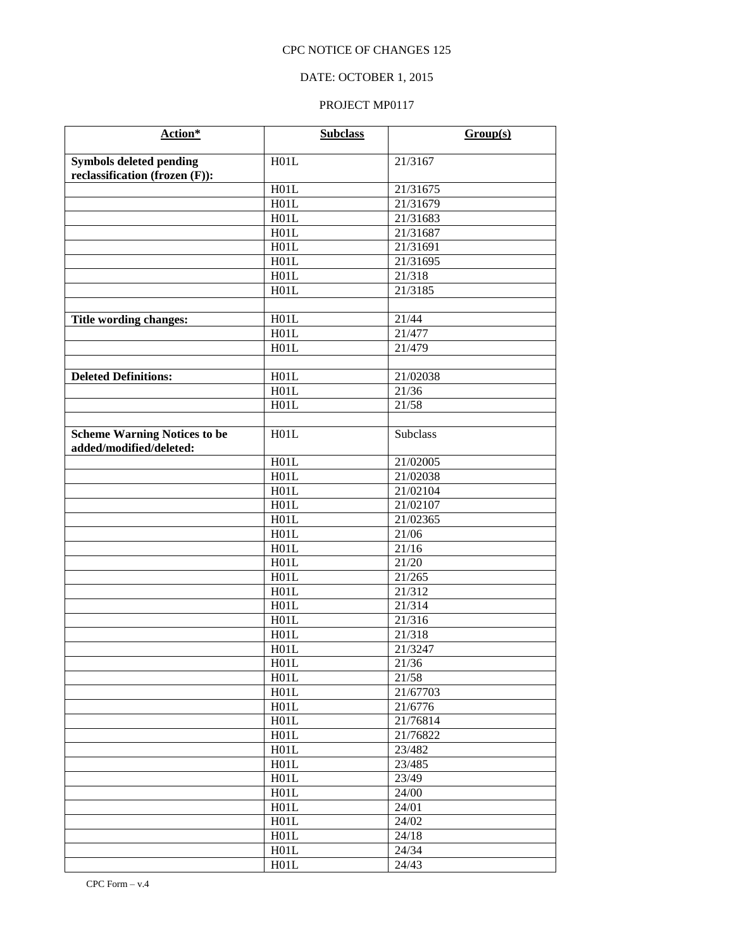## DATE: OCTOBER 1, 2015

| Action*                             | <b>Subclass</b> | Group(s)             |
|-------------------------------------|-----------------|----------------------|
| <b>Symbols deleted pending</b>      | H01L            | 21/3167              |
| reclassification (frozen (F)):      |                 |                      |
|                                     | H01L            | 21/31675             |
|                                     | H01L            | 21/31679             |
|                                     | H01L            | 21/31683             |
|                                     | H01L            | 21/31687             |
|                                     | H01L            | 21/31691             |
|                                     | H01L            | 21/31695             |
|                                     | H01L            | 21/318               |
|                                     | H01L            | $\overline{21}/3185$ |
|                                     |                 |                      |
| Title wording changes:              | H01L            | 21/44                |
|                                     | H01L            | 21/477               |
|                                     | H01L            | 21/479               |
|                                     |                 |                      |
| <b>Deleted Definitions:</b>         | H01L            | 21/02038             |
|                                     | H01L            | 21/36                |
|                                     | H01L            | 21/58                |
|                                     |                 |                      |
| <b>Scheme Warning Notices to be</b> | H01L            | <b>Subclass</b>      |
| added/modified/deleted:             |                 |                      |
|                                     | H01L            | 21/02005             |
|                                     | H01L            | 21/02038             |
|                                     | H01L            | 21/02104             |
|                                     | H01L            | 21/02107             |
|                                     | H01L            | 21/02365             |
|                                     | H01L            | 21/06                |
|                                     | H01L            | 21/16                |
|                                     | H01L            | 21/20                |
|                                     | H01L            | 21/265               |
|                                     | H01L            | 21/312               |
|                                     | H01L            | 21/314               |
|                                     | H01L            | $\overline{21/316}$  |
|                                     | H01L            | 21/318               |
|                                     | H01L            | 21/3247              |
|                                     | H01L            | 21/36                |
|                                     | H01L            | 21/58                |
|                                     | H01L            | 21/67703             |
|                                     | H01L            | 21/6776              |
|                                     | H01L            | 21/76814             |
|                                     | H01L            | 21/76822             |
|                                     | H01L            | 23/482               |
|                                     | H01L            | 23/485               |
|                                     | H01L            | 23/49                |
|                                     | H01L            | 24/00                |
|                                     | H01L            | 24/01                |
|                                     | H01L            | 24/02                |
|                                     | H01L            | 24/18<br>24/34       |
|                                     | H01L            | 24/43                |
|                                     | H01L            |                      |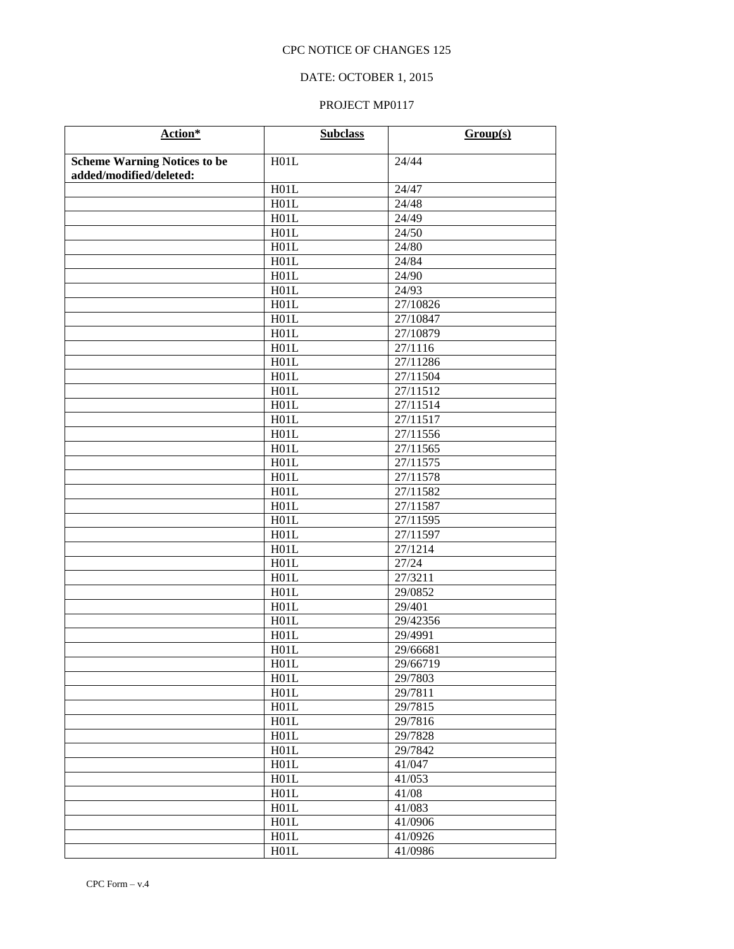## DATE: OCTOBER 1, 2015

| Action*                             | <b>Subclass</b> | Group(s)         |
|-------------------------------------|-----------------|------------------|
| <b>Scheme Warning Notices to be</b> | H01L            | 24/44            |
| added/modified/deleted:             |                 |                  |
|                                     | H01L            | 24/47            |
|                                     | H01L            | 24/48            |
|                                     | H01L            | 24/49            |
|                                     | H01L            | 24/50            |
|                                     | H01L            | 24/80            |
|                                     | H01L            | 24/84            |
|                                     | H01L            | 24/90            |
|                                     | H01L            | 24/93            |
|                                     | H01L            | 27/10826         |
|                                     | H01L            | 27/10847         |
|                                     | H01L            | 27/10879         |
|                                     | H01L            | 27/1116          |
|                                     | H01L            | 27/11286         |
|                                     | H01L            | 27/11504         |
|                                     | H01L            | 27/11512         |
|                                     | H01L            | 27/11514         |
|                                     | H01L            | 27/11517         |
|                                     | H01L            | 27/11556         |
|                                     | H01L            | 27/11565         |
|                                     | H01L            | 27/11575         |
|                                     | H01L            | 27/11578         |
|                                     | H01L            | 27/11582         |
|                                     | H01L            | 27/11587         |
|                                     | H01L            | 27/11595         |
|                                     | H01L            | 27/11597         |
|                                     | H01L<br>H01L    | 27/1214<br>27/24 |
|                                     | H01L            | 27/3211          |
|                                     | H01L            | 29/0852          |
|                                     | H01L            | 29/401           |
|                                     | H01L            | 29/42356         |
|                                     | H01L            | 29/4991          |
|                                     | H01L            | 29/66681         |
|                                     | H01L            | 29/66719         |
|                                     | H01L            | 29/7803          |
|                                     | H01L            | 29/7811          |
|                                     | H01L            | 29/7815          |
|                                     | H01L            | 29/7816          |
|                                     | H01L            | 29/7828          |
|                                     | H01L            | 29/7842          |
|                                     | H01L            | 41/047           |
|                                     | H01L            | 41/053           |
|                                     | H01L            | 41/08            |
|                                     | H01L            | 41/083           |
|                                     | H01L            | 41/0906          |
|                                     | H01L            | 41/0926          |
|                                     | H01L            | 41/0986          |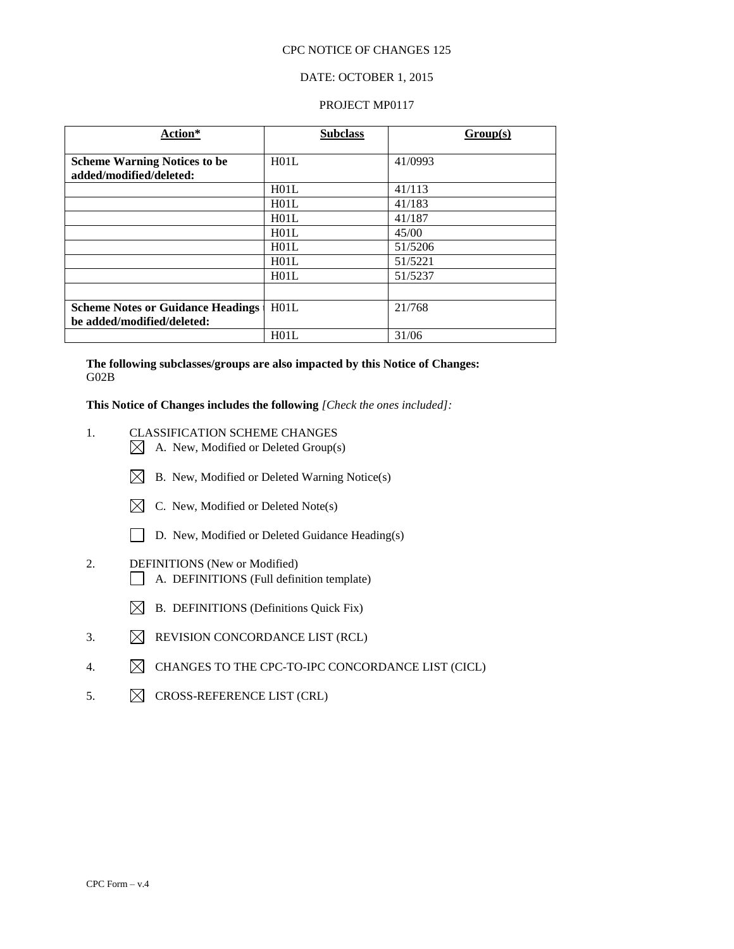### DATE: OCTOBER 1, 2015

#### PROJECT MP0117

| Action*                                  | <b>Subclass</b> | Group(s) |
|------------------------------------------|-----------------|----------|
|                                          |                 |          |
| <b>Scheme Warning Notices to be</b>      | H01L            | 41/0993  |
| added/modified/deleted:                  |                 |          |
|                                          | H01L            | 41/113   |
|                                          | H01L            | 41/183   |
|                                          | H01L            | 41/187   |
|                                          | H01L            | 45/00    |
|                                          | H01L            | 51/5206  |
|                                          | H01L            | 51/5221  |
|                                          | H01L            | 51/5237  |
|                                          |                 |          |
| <b>Scheme Notes or Guidance Headings</b> | H01L            | 21/768   |
| be added/modified/deleted:               |                 |          |
|                                          | H01L            | 31/06    |

**The following subclasses/groups are also impacted by this Notice of Changes:** G02B

**This Notice of Changes includes the following** *[Check the ones included]:*

- 1. CLASSIFICATION SCHEME CHANGES
	- $\boxtimes$  A. New, Modified or Deleted Group(s)
	- $\boxtimes$  B. New, Modified or Deleted Warning Notice(s)
	- $\boxtimes$  C. New, Modified or Deleted Note(s)
	- D. New, Modified or Deleted Guidance Heading(s)
- 2. DEFINITIONS (New or Modified) A. DEFINITIONS (Full definition template)
	- $\boxtimes$  B. DEFINITIONS (Definitions Quick Fix)
- 3.  $\boxtimes$  REVISION CONCORDANCE LIST (RCL)
- 4.  $\boxtimes$  CHANGES TO THE CPC-TO-IPC CONCORDANCE LIST (CICL)
- 5.  $\boxtimes$  CROSS-REFERENCE LIST (CRL)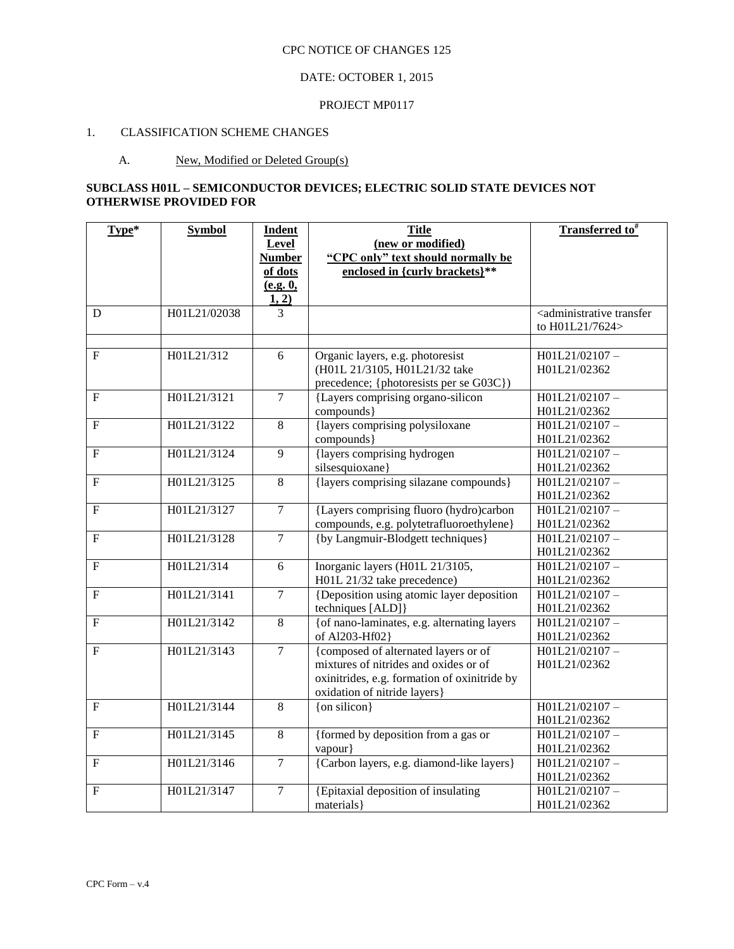# DATE: OCTOBER 1, 2015

#### PROJECT MP0117

# 1. CLASSIFICATION SCHEME CHANGES

## A. New, Modified or Deleted Group(s)

## **SUBCLASS H01L – SEMICONDUCTOR DEVICES; ELECTRIC SOLID STATE DEVICES NOT OTHERWISE PROVIDED FOR**

| Type*          | <b>Symbol</b> | <b>Indent</b>            | <b>Title</b>                                                         | <b>Transferred to</b> #                              |
|----------------|---------------|--------------------------|----------------------------------------------------------------------|------------------------------------------------------|
|                |               | Level                    | (new or modified)                                                    |                                                      |
|                |               | <b>Number</b><br>of dots | "CPC only" text should normally be<br>enclosed in {curly brackets}** |                                                      |
|                |               | (e.g. 0,                 |                                                                      |                                                      |
|                |               | 1, 2)                    |                                                                      |                                                      |
| D              | H01L21/02038  | 3                        |                                                                      | <administrative td="" transfer<=""></administrative> |
|                |               |                          |                                                                      | to H01L21/7624>                                      |
|                |               |                          |                                                                      |                                                      |
| $\mathbf{F}$   | H01L21/312    | 6                        | Organic layers, e.g. photoresist                                     | H01L21/02107-                                        |
|                |               |                          | (H01L 21/3105, H01L21/32 take                                        | H01L21/02362                                         |
|                |               |                          | precedence; {photoresists per se G03C})                              |                                                      |
| $\overline{F}$ | H01L21/3121   | $\overline{7}$           | {Layers comprising organo-silicon                                    | H01L21/02107-                                        |
|                |               |                          | compounds}                                                           | H01L21/02362                                         |
| $\overline{F}$ | H01L21/3122   | 8                        | {layers comprising polysiloxane                                      | H01L21/02107-                                        |
|                |               | $\overline{9}$           | compounds}                                                           | H01L21/02362                                         |
| $\overline{F}$ | H01L21/3124   |                          | {layers comprising hydrogen                                          | H01L21/02107-                                        |
| F              | H01L21/3125   | $\overline{8}$           | silsesquioxane}<br>{layers comprising silazane compounds}            | H01L21/02362<br>H01L21/02107-                        |
|                |               |                          |                                                                      | H01L21/02362                                         |
| F              | H01L21/3127   | $\overline{7}$           | {Layers comprising fluoro (hydro)carbon                              | H01L21/02107-                                        |
|                |               |                          | compounds, e.g. polytetrafluoroethylene}                             | H01L21/02362                                         |
| ${\bf F}$      | H01L21/3128   | $\overline{7}$           | {by Langmuir-Blodgett techniques}                                    | H01L21/02107-                                        |
|                |               |                          |                                                                      | H01L21/02362                                         |
| $\mathbf F$    | H01L21/314    | $\overline{6}$           | Inorganic layers (H01L 21/3105,                                      | H01L21/02107-                                        |
|                |               |                          | H01L 21/32 take precedence)                                          | H01L21/02362                                         |
| ${\bf F}$      | H01L21/3141   | $\overline{7}$           | {Deposition using atomic layer deposition                            | H01L21/02107-                                        |
|                |               |                          | techniques [ALD]}                                                    | H01L21/02362                                         |
| $\mathbf F$    | H01L21/3142   | $\overline{8}$           | {of nano-laminates, e.g. alternating layers                          | H01L21/02107-                                        |
|                |               |                          | of Al203-Hf02}                                                       | H01L21/02362                                         |
| ${\bf F}$      | H01L21/3143   | $\overline{7}$           | {composed of alternated layers or of                                 | H01L21/02107-                                        |
|                |               |                          | mixtures of nitrides and oxides or of                                | H01L21/02362                                         |
|                |               |                          | oxinitrides, e.g. formation of oxinitride by                         |                                                      |
|                |               |                          | oxidation of nitride layers}                                         |                                                      |
| $\overline{F}$ | H01L21/3144   | $\overline{8}$           | $\{$ on silicon $\}$                                                 | H01L21/02107-                                        |
|                |               |                          |                                                                      | H01L21/02362                                         |
| $\overline{F}$ | H01L21/3145   | 8                        | {formed by deposition from a gas or                                  | H01L21/02107-                                        |
|                |               |                          | vapour}                                                              | H01L21/02362                                         |
| $\mathbf{F}$   | H01L21/3146   | $\overline{7}$           | {Carbon layers, e.g. diamond-like layers}                            | H01L21/02107-                                        |
|                |               |                          |                                                                      | H01L21/02362                                         |
| ${\bf F}$      | H01L21/3147   | $\tau$                   | {Epitaxial deposition of insulating<br>materials }                   | H01L21/02107-<br>H01L21/02362                        |
|                |               |                          |                                                                      |                                                      |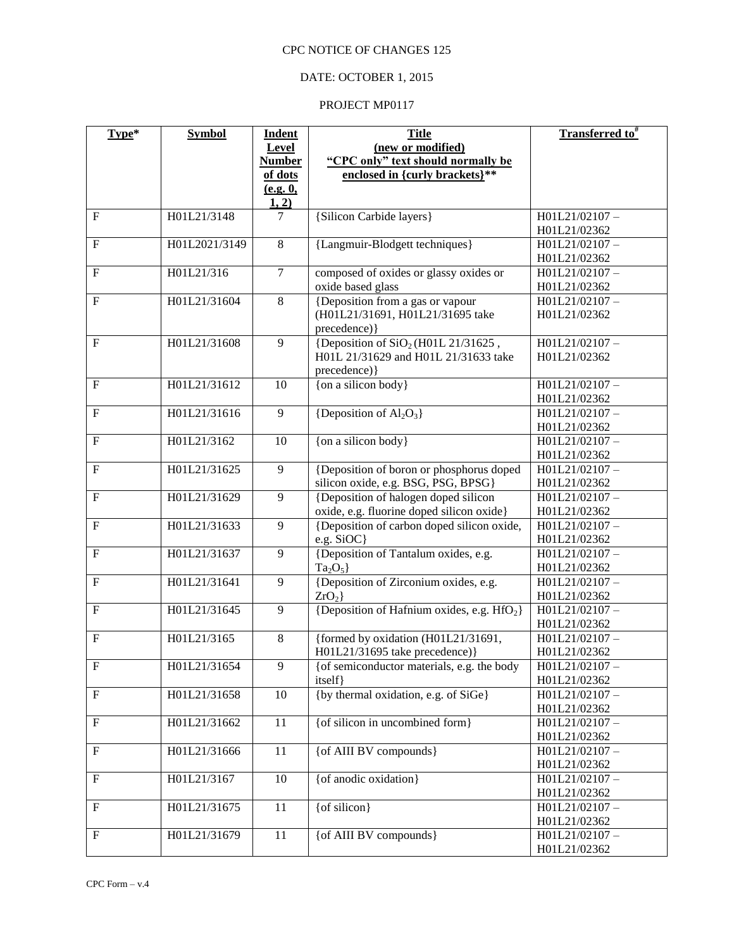## DATE: OCTOBER 1, 2015

| Type*                     | <b>Symbol</b> | <b>Indent</b>  | <b>Title</b>                                           | Transferred to <sup>#</sup> |
|---------------------------|---------------|----------------|--------------------------------------------------------|-----------------------------|
|                           |               | <b>Level</b>   | (new or modified)                                      |                             |
|                           |               | <b>Number</b>  | "CPC only" text should normally be                     |                             |
|                           |               | of dots        | enclosed in {curly brackets}**                         |                             |
|                           |               | (e.g. 0,       |                                                        |                             |
|                           |               | 1, 2)          |                                                        |                             |
| $\mathbf F$               | H01L21/3148   | 7              | {Silicon Carbide layers}                               | H01L21/02107-               |
|                           |               |                |                                                        | H01L21/02362                |
| $\mathbf F$               | H01L2021/3149 | $\overline{8}$ | {Langmuir-Blodgett techniques}                         | H01L21/02107-               |
|                           |               |                |                                                        | H01L21/02362                |
| $\mathbf F$               | H01L21/316    | $\overline{7}$ | composed of oxides or glassy oxides or                 | H01L21/02107-               |
|                           |               |                | oxide based glass                                      | H01L21/02362                |
| $\mathbf F$               | H01L21/31604  | 8              | {Deposition from a gas or vapour                       | H01L21/02107-               |
|                           |               |                | (H01L21/31691, H01L21/31695 take                       | H01L21/02362                |
|                           |               |                | precedence) }                                          |                             |
| $\mathbf F$               | H01L21/31608  | 9              | {Deposition of $SiO2(H01L 21/31625)$ ,                 | H01L21/02107-               |
|                           |               |                | H01L 21/31629 and H01L 21/31633 take                   | H01L21/02362                |
|                           |               |                | precedence) }                                          |                             |
| $\mathbf F$               | H01L21/31612  | 10             | {on a silicon body}                                    | H01L21/02107-               |
|                           |               |                |                                                        | H01L21/02362                |
| $\boldsymbol{\mathrm{F}}$ | H01L21/31616  | 9              | {Deposition of $Al_2O_3$ }                             | H01L21/02107-               |
|                           |               |                |                                                        | H01L21/02362                |
| $\mathbf F$               | H01L21/3162   | 10             | {on a silicon body}                                    | H01L21/02107-               |
|                           |               |                |                                                        | H01L21/02362                |
| $\mathbf{F}$              | H01L21/31625  | 9              | {Deposition of boron or phosphorus doped               | H01L21/02107-               |
|                           |               |                | silicon oxide, e.g. BSG, PSG, BPSG}                    | H01L21/02362                |
| $\boldsymbol{\mathrm{F}}$ | H01L21/31629  | 9              | {Deposition of halogen doped silicon                   | H01L21/02107-               |
|                           |               |                | oxide, e.g. fluorine doped silicon oxide}              | H01L21/02362                |
| $\mathbf F$               | H01L21/31633  | 9              | {Deposition of carbon doped silicon oxide,             | H01L21/02107-               |
|                           |               |                | e.g. SiOC}                                             | H01L21/02362                |
| $\boldsymbol{\mathrm{F}}$ | H01L21/31637  | $\overline{9}$ | {Deposition of Tantalum oxides, e.g.                   | H01L21/02107-               |
|                           |               |                | $Ta_2O_5$                                              | H01L21/02362                |
| $\overline{F}$            | H01L21/31641  | $\overline{9}$ | {Deposition of Zirconium oxides, e.g.                  | H01L21/02107-               |
|                           |               |                | ZrO <sub>2</sub>                                       | H01L21/02362                |
| $\mathbf F$               | H01L21/31645  | 9              | {Deposition of Hafnium oxides, e.g. HfO <sub>2</sub> } | H01L21/02107-               |
|                           |               |                |                                                        | H01L21/02362                |
| $\mathbf{F}$              | H01L21/3165   | $\overline{8}$ | {formed by oxidation (H01L21/31691,                    | H01L21/02107-               |
|                           |               |                | H01L21/31695 take precedence) }                        | H01L21/02362                |
| F                         | H01L21/31654  | 9              | {of semiconductor materials, e.g. the body             | H01L21/02107-               |
|                           |               |                | itself}                                                | H01L21/02362                |
| $\mathbf F$               | H01L21/31658  | 10             | {by thermal oxidation, e.g. of SiGe}                   | H01L21/02107-               |
|                           |               |                |                                                        | H01L21/02362                |
| $\mathbf F$               | H01L21/31662  | 11             | {of silicon in uncombined form}                        | H01L21/02107-               |
|                           |               |                |                                                        | H01L21/02362                |
| $\boldsymbol{\mathrm{F}}$ | H01L21/31666  | 11             | {of AIII BV compounds}                                 | H01L21/02107-               |
|                           |               |                |                                                        | H01L21/02362                |
| $\mathbf F$               | H01L21/3167   | 10             | {of anodic oxidation}                                  | H01L21/02107-               |
|                           |               |                |                                                        | H01L21/02362                |
| $\boldsymbol{\mathrm{F}}$ | H01L21/31675  | 11             | $\{$ of silicon $\}$                                   | H01L21/02107-               |
| $\mathbf F$               |               | 11             | {of AIII BV compounds}                                 | H01L21/02362                |
|                           | H01L21/31679  |                |                                                        | H01L21/02107-               |
|                           |               |                |                                                        | H01L21/02362                |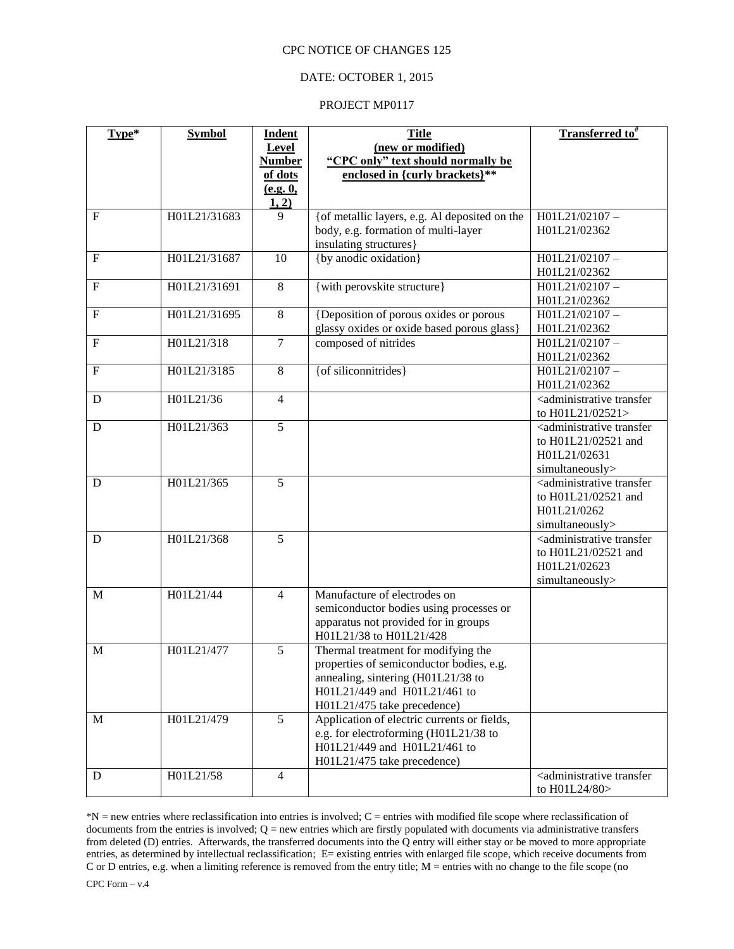### DATE: OCTOBER 1, 2015

#### PROJECT MP0117

| Type*          | <b>Symbol</b> | <b>Indent</b>  | <b>Title</b>                                                                    | Transferred to <sup>#</sup>                          |
|----------------|---------------|----------------|---------------------------------------------------------------------------------|------------------------------------------------------|
|                |               | Level          | (new or modified)                                                               |                                                      |
|                |               | <b>Number</b>  | "CPC only" text should normally be                                              |                                                      |
|                |               | of dots        | enclosed in {curly brackets}**                                                  |                                                      |
|                |               | (e.g. 0,       |                                                                                 |                                                      |
|                |               | 1, 2)          |                                                                                 |                                                      |
| $\overline{F}$ | H01L21/31683  | 9              | {of metallic layers, e.g. Al deposited on the                                   | H01L21/02107-<br>H01L21/02362                        |
|                |               |                | body, e.g. formation of multi-layer                                             |                                                      |
| $\overline{F}$ | H01L21/31687  | 10             | insulating structures}<br>{by anodic oxidation}                                 | H01L21/02107-                                        |
|                |               |                |                                                                                 | H01L21/02362                                         |
| ${\bf F}$      | H01L21/31691  | $\,8\,$        | {with perovskite structure}                                                     | H01L21/02107-                                        |
|                |               |                |                                                                                 | H01L21/02362                                         |
| $\overline{F}$ | H01L21/31695  | $\overline{8}$ | {Deposition of porous oxides or porous                                          | H01L21/02107-                                        |
|                |               |                | glassy oxides or oxide based porous glass}                                      | H01L21/02362                                         |
| $\mathbf F$    | H01L21/318    | $\overline{7}$ | composed of nitrides                                                            | H01L21/02107-                                        |
|                |               |                |                                                                                 | H01L21/02362                                         |
| ${\bf F}$      | H01L21/3185   | 8              | {of siliconnitrides}                                                            | H01L21/02107-                                        |
|                |               |                |                                                                                 | H01L21/02362                                         |
| D              | H01L21/36     | $\overline{4}$ |                                                                                 | <administrative td="" transfer<=""></administrative> |
|                |               |                |                                                                                 | to H01L21/02521>                                     |
| $\mathbf D$    | H01L21/363    | $\overline{5}$ |                                                                                 | <administrative td="" transfer<=""></administrative> |
|                |               |                |                                                                                 | to H01L21/02521 and                                  |
|                |               |                |                                                                                 | H01L21/02631                                         |
|                |               |                |                                                                                 | simultaneously>                                      |
| D              | H01L21/365    | 5              |                                                                                 | <administrative td="" transfer<=""></administrative> |
|                |               |                |                                                                                 | to H01L21/02521 and                                  |
|                |               |                |                                                                                 | H01L21/0262                                          |
|                |               |                |                                                                                 | simultaneously>                                      |
| D              | H01L21/368    | 5              |                                                                                 | <administrative td="" transfer<=""></administrative> |
|                |               |                |                                                                                 | to H01L21/02521 and                                  |
|                |               |                |                                                                                 | H01L21/02623                                         |
|                | H01L21/44     |                | Manufacture of electrodes on                                                    | simultaneously>                                      |
| $\mathbf{M}$   |               | $\overline{4}$ |                                                                                 |                                                      |
|                |               |                | semiconductor bodies using processes or<br>apparatus not provided for in groups |                                                      |
|                |               |                | H01L21/38 to H01L21/428                                                         |                                                      |
| $\mathbf M$    | H01L21/477    | 5              | Thermal treatment for modifying the                                             |                                                      |
|                |               |                | properties of semiconductor bodies, e.g.                                        |                                                      |
|                |               |                | annealing, sintering (H01L21/38 to                                              |                                                      |
|                |               |                | H01L21/449 and H01L21/461 to                                                    |                                                      |
|                |               |                | H01L21/475 take precedence)                                                     |                                                      |
| M              | H01L21/479    | 5              | Application of electric currents or fields,                                     |                                                      |
|                |               |                | e.g. for electroforming (H01L21/38 to                                           |                                                      |
|                |               |                | H01L21/449 and H01L21/461 to                                                    |                                                      |
|                |               |                | H01L21/475 take precedence)                                                     |                                                      |
| D              | H01L21/58     | $\overline{4}$ |                                                                                 | <administrative td="" transfer<=""></administrative> |
|                |               |                |                                                                                 | to H01L24/80>                                        |

\*N = new entries where reclassification into entries is involved; C = entries with modified file scope where reclassification of documents from the entries is involved; Q = new entries which are firstly populated with documents via administrative transfers from deleted (D) entries. Afterwards, the transferred documents into the Q entry will either stay or be moved to more appropriate entries, as determined by intellectual reclassification; E= existing entries with enlarged file scope, which receive documents from C or D entries, e.g. when a limiting reference is removed from the entry title; M = entries with no change to the file scope (no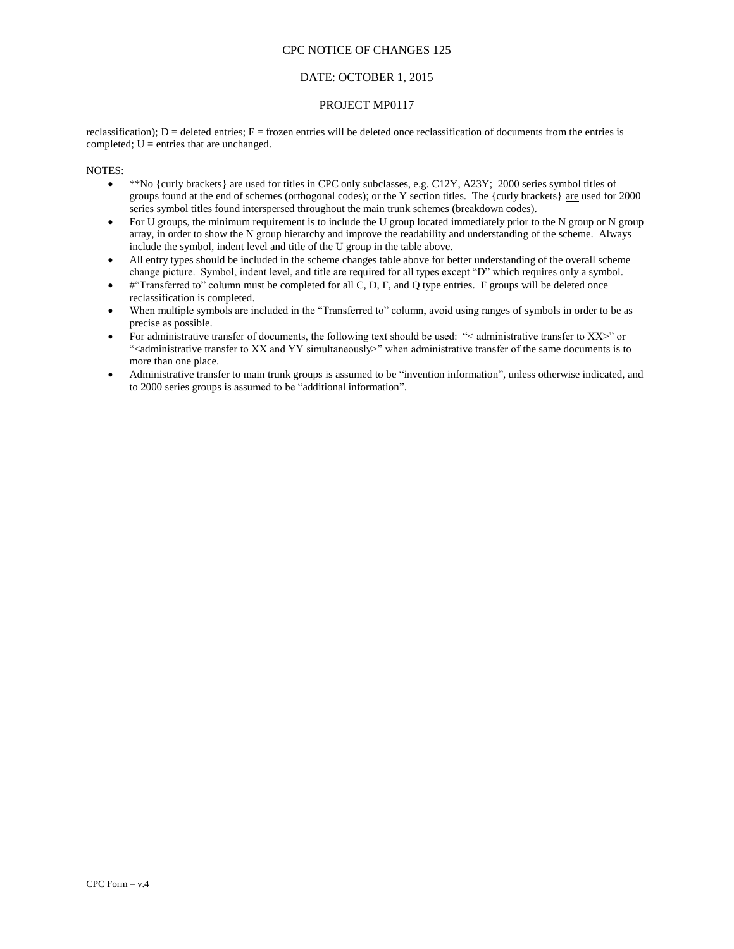### DATE: OCTOBER 1, 2015

#### PROJECT MP0117

reclassification);  $D =$  deleted entries;  $F =$  frozen entries will be deleted once reclassification of documents from the entries is completed;  $U =$  entries that are unchanged.

- \*\*No {curly brackets} are used for titles in CPC only subclasses, e.g. C12Y, A23Y; 2000 series symbol titles of groups found at the end of schemes (orthogonal codes); or the Y section titles. The {curly brackets} are used for 2000 series symbol titles found interspersed throughout the main trunk schemes (breakdown codes).
- For U groups, the minimum requirement is to include the U group located immediately prior to the N group or N group array, in order to show the N group hierarchy and improve the readability and understanding of the scheme. Always include the symbol, indent level and title of the U group in the table above.
- All entry types should be included in the scheme changes table above for better understanding of the overall scheme change picture. Symbol, indent level, and title are required for all types except "D" which requires only a symbol.
- #"Transferred to" column must be completed for all C, D, F, and Q type entries. F groups will be deleted once reclassification is completed.
- When multiple symbols are included in the "Transferred to" column, avoid using ranges of symbols in order to be as precise as possible.
- For administrative transfer of documents, the following text should be used: "< administrative transfer to XX>" or "<administrative transfer to XX and YY simultaneously>" when administrative transfer of the same documents is to more than one place.
- Administrative transfer to main trunk groups is assumed to be "invention information", unless otherwise indicated, and to 2000 series groups is assumed to be "additional information".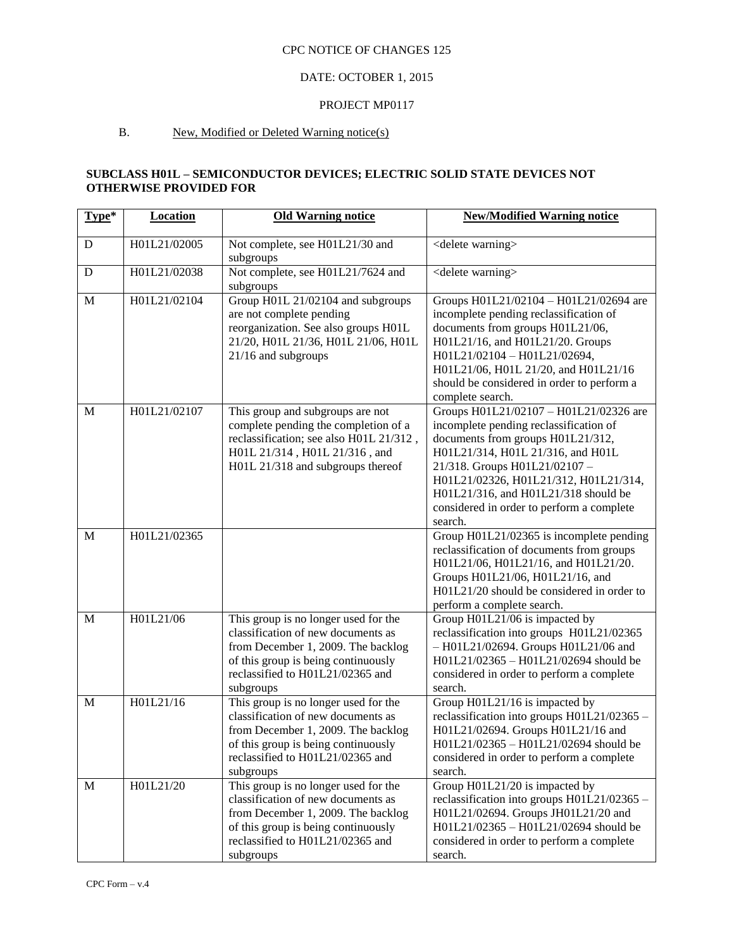# DATE: OCTOBER 1, 2015

#### PROJECT MP0117

## B. New, Modified or Deleted Warning notice(s)

## **SUBCLASS H01L – SEMICONDUCTOR DEVICES; ELECTRIC SOLID STATE DEVICES NOT OTHERWISE PROVIDED FOR**

| Type*       | <b>Location</b> | <b>Old Warning notice</b>                                                                                                                                                                                | <b>New/Modified Warning notice</b>                                                                                                                                                                                                                                                                                                  |
|-------------|-----------------|----------------------------------------------------------------------------------------------------------------------------------------------------------------------------------------------------------|-------------------------------------------------------------------------------------------------------------------------------------------------------------------------------------------------------------------------------------------------------------------------------------------------------------------------------------|
| D           | H01L21/02005    | Not complete, see H01L21/30 and<br>subgroups                                                                                                                                                             | <delete warning=""></delete>                                                                                                                                                                                                                                                                                                        |
| ${\bf D}$   | H01L21/02038    | Not complete, see H01L21/7624 and<br>subgroups                                                                                                                                                           | <delete warning=""></delete>                                                                                                                                                                                                                                                                                                        |
| $\mathbf M$ | H01L21/02104    | Group H01L 21/02104 and subgroups<br>are not complete pending<br>reorganization. See also groups H01L<br>21/20, H01L 21/36, H01L 21/06, H01L<br>21/16 and subgroups                                      | Groups H01L21/02104 - H01L21/02694 are<br>incomplete pending reclassification of<br>documents from groups H01L21/06,<br>H01L21/16, and H01L21/20. Groups<br>H01L21/02104 - H01L21/02694,<br>H01L21/06, H01L 21/20, and H01L21/16<br>should be considered in order to perform a<br>complete search.                                  |
| M           | H01L21/02107    | This group and subgroups are not<br>complete pending the completion of a<br>reclassification; see also H01L 21/312,<br>H01L 21/314, H01L 21/316, and<br>H01L 21/318 and subgroups thereof                | Groups H01L21/02107 - H01L21/02326 are<br>incomplete pending reclassification of<br>documents from groups H01L21/312,<br>H01L21/314, H01L 21/316, and H01L<br>21/318. Groups H01L21/02107-<br>H01L21/02326, H01L21/312, H01L21/314,<br>H01L21/316, and H01L21/318 should be<br>considered in order to perform a complete<br>search. |
| M           | H01L21/02365    |                                                                                                                                                                                                          | Group H01L21/02365 is incomplete pending<br>reclassification of documents from groups<br>H01L21/06, H01L21/16, and H01L21/20.<br>Groups H01L21/06, H01L21/16, and<br>H01L21/20 should be considered in order to<br>perform a complete search.                                                                                       |
| M           | H01L21/06       | This group is no longer used for the<br>classification of new documents as<br>from December 1, 2009. The backlog<br>of this group is being continuously<br>reclassified to H01L21/02365 and<br>subgroups | Group H01L21/06 is impacted by<br>reclassification into groups H01L21/02365<br>$-$ H01L21/02694. Groups H01L21/06 and<br>H01L21/02365 - H01L21/02694 should be<br>considered in order to perform a complete<br>search.                                                                                                              |
| M           | H01L21/16       | This group is no longer used for the<br>classification of new documents as<br>from December 1, 2009. The backlog<br>of this group is being continuously<br>reclassified to H01L21/02365 and<br>subgroups | Group H01L21/16 is impacted by<br>reclassification into groups H01L21/02365 -<br>H01L21/02694. Groups H01L21/16 and<br>H01L21/02365 - H01L21/02694 should be<br>considered in order to perform a complete<br>search.                                                                                                                |
| M           | H01L21/20       | This group is no longer used for the<br>classification of new documents as<br>from December 1, 2009. The backlog<br>of this group is being continuously<br>reclassified to H01L21/02365 and<br>subgroups | Group H01L21/20 is impacted by<br>reclassification into groups H01L21/02365 -<br>H01L21/02694. Groups JH01L21/20 and<br>H01L21/02365 - H01L21/02694 should be<br>considered in order to perform a complete<br>search.                                                                                                               |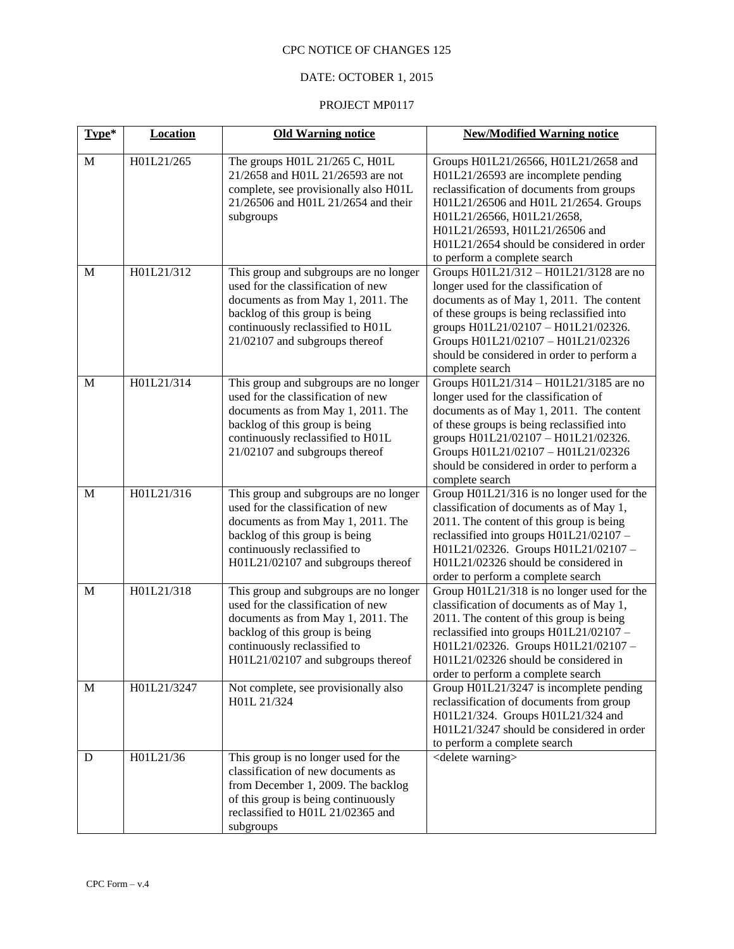# DATE: OCTOBER 1, 2015

| Type*        | <b>Location</b> | <b>Old Warning notice</b>                                                                                                                                                                                                   | <b>New/Modified Warning notice</b>                                                                                                                                                                                                                                                                                      |
|--------------|-----------------|-----------------------------------------------------------------------------------------------------------------------------------------------------------------------------------------------------------------------------|-------------------------------------------------------------------------------------------------------------------------------------------------------------------------------------------------------------------------------------------------------------------------------------------------------------------------|
| $\mathbf{M}$ | H01L21/265      | The groups H01L 21/265 C, H01L<br>21/2658 and H01L 21/26593 are not<br>complete, see provisionally also H01L<br>21/26506 and H01L 21/2654 and their<br>subgroups                                                            | Groups H01L21/26566, H01L21/2658 and<br>H01L21/26593 are incomplete pending<br>reclassification of documents from groups<br>H01L21/26506 and H01L 21/2654. Groups<br>H01L21/26566, H01L21/2658,<br>H01L21/26593, H01L21/26506 and<br>H01L21/2654 should be considered in order<br>to perform a complete search          |
| M            | H01L21/312      | This group and subgroups are no longer<br>used for the classification of new<br>documents as from May 1, 2011. The<br>backlog of this group is being<br>continuously reclassified to H01L<br>21/02107 and subgroups thereof | Groups H01L21/312 - H01L21/3128 are no<br>longer used for the classification of<br>documents as of May 1, 2011. The content<br>of these groups is being reclassified into<br>groups H01L21/02107 - H01L21/02326.<br>Groups H01L21/02107 - H01L21/02326<br>should be considered in order to perform a<br>complete search |
| M            | H01L21/314      | This group and subgroups are no longer<br>used for the classification of new<br>documents as from May 1, 2011. The<br>backlog of this group is being<br>continuously reclassified to H01L<br>21/02107 and subgroups thereof | Groups H01L21/314 - H01L21/3185 are no<br>longer used for the classification of<br>documents as of May 1, 2011. The content<br>of these groups is being reclassified into<br>groups H01L21/02107 - H01L21/02326.<br>Groups H01L21/02107 - H01L21/02326<br>should be considered in order to perform a<br>complete search |
| M            | H01L21/316      | This group and subgroups are no longer<br>used for the classification of new<br>documents as from May 1, 2011. The<br>backlog of this group is being<br>continuously reclassified to<br>H01L21/02107 and subgroups thereof  | Group H01L21/316 is no longer used for the<br>classification of documents as of May 1,<br>2011. The content of this group is being<br>reclassified into groups H01L21/02107 -<br>H01L21/02326. Groups H01L21/02107-<br>H01L21/02326 should be considered in<br>order to perform a complete search                       |
| $\mathbf{M}$ | H01L21/318      | This group and subgroups are no longer<br>used for the classification of new<br>documents as from May 1, 2011. The<br>backlog of this group is being<br>continuously reclassified to<br>H01L21/02107 and subgroups thereof  | Group H01L21/318 is no longer used for the<br>classification of documents as of May 1,<br>2011. The content of this group is being<br>reclassified into groups H01L21/02107 -<br>H01L21/02326. Groups H01L21/02107-<br>H01L21/02326 should be considered in<br>order to perform a complete search                       |
| M            | H01L21/3247     | Not complete, see provisionally also<br>H01L 21/324                                                                                                                                                                         | Group H01L21/3247 is incomplete pending<br>reclassification of documents from group<br>H01L21/324. Groups H01L21/324 and<br>H01L21/3247 should be considered in order<br>to perform a complete search                                                                                                                   |
| D            | H01L21/36       | This group is no longer used for the<br>classification of new documents as<br>from December 1, 2009. The backlog<br>of this group is being continuously<br>reclassified to H01L 21/02365 and<br>subgroups                   | <delete warning=""></delete>                                                                                                                                                                                                                                                                                            |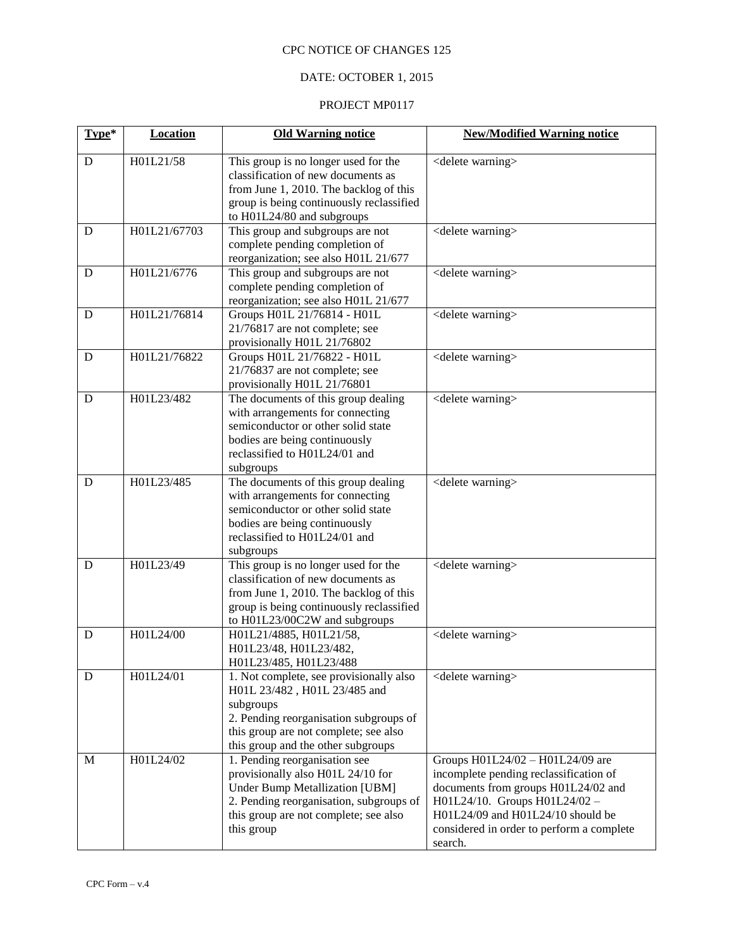## DATE: OCTOBER 1, 2015

| Type* | <b>Location</b> | <b>Old Warning notice</b>                                                                                                                                                                                     | <b>New/Modified Warning notice</b>                                                                                                                                                                                                              |
|-------|-----------------|---------------------------------------------------------------------------------------------------------------------------------------------------------------------------------------------------------------|-------------------------------------------------------------------------------------------------------------------------------------------------------------------------------------------------------------------------------------------------|
| D     | H01L21/58       | This group is no longer used for the<br>classification of new documents as<br>from June 1, 2010. The backlog of this<br>group is being continuously reclassified<br>to H01L24/80 and subgroups                | <delete warning=""></delete>                                                                                                                                                                                                                    |
| D     | H01L21/67703    | This group and subgroups are not<br>complete pending completion of<br>reorganization; see also H01L 21/677                                                                                                    | <delete warning=""></delete>                                                                                                                                                                                                                    |
| D     | H01L21/6776     | This group and subgroups are not<br>complete pending completion of<br>reorganization; see also H01L 21/677                                                                                                    | <delete warning=""></delete>                                                                                                                                                                                                                    |
| D     | H01L21/76814    | Groups H01L 21/76814 - H01L<br>21/76817 are not complete; see<br>provisionally H01L 21/76802                                                                                                                  | <delete warning=""></delete>                                                                                                                                                                                                                    |
| D     | H01L21/76822    | Groups H01L 21/76822 - H01L<br>21/76837 are not complete; see<br>provisionally H01L 21/76801                                                                                                                  | <delete warning=""></delete>                                                                                                                                                                                                                    |
| D     | H01L23/482      | The documents of this group dealing<br>with arrangements for connecting<br>semiconductor or other solid state<br>bodies are being continuously<br>reclassified to H01L24/01 and<br>subgroups                  | <delete warning=""></delete>                                                                                                                                                                                                                    |
| D     | H01L23/485      | The documents of this group dealing<br>with arrangements for connecting<br>semiconductor or other solid state<br>bodies are being continuously<br>reclassified to H01L24/01 and<br>subgroups                  | <delete warning=""></delete>                                                                                                                                                                                                                    |
| D     | H01L23/49       | This group is no longer used for the<br>classification of new documents as<br>from June 1, 2010. The backlog of this<br>group is being continuously reclassified<br>to H01L23/00C2W and subgroups             | <delete warning=""></delete>                                                                                                                                                                                                                    |
| D     | H01L24/00       | H01L21/4885, H01L21/58,<br>H01L23/48, H01L23/482,<br>H01L23/485, H01L23/488                                                                                                                                   | <delete warning=""></delete>                                                                                                                                                                                                                    |
| D     | H01L24/01       | 1. Not complete, see provisionally also<br>H01L 23/482, H01L 23/485 and<br>subgroups<br>2. Pending reorganisation subgroups of<br>this group are not complete; see also<br>this group and the other subgroups | <delete warning=""></delete>                                                                                                                                                                                                                    |
| M     | H01L24/02       | 1. Pending reorganisation see<br>provisionally also H01L 24/10 for<br><b>Under Bump Metallization [UBM]</b><br>2. Pending reorganisation, subgroups of<br>this group are not complete; see also<br>this group | Groups H01L24/02 - H01L24/09 are<br>incomplete pending reclassification of<br>documents from groups H01L24/02 and<br>H01L24/10. Groups H01L24/02 -<br>H01L24/09 and H01L24/10 should be<br>considered in order to perform a complete<br>search. |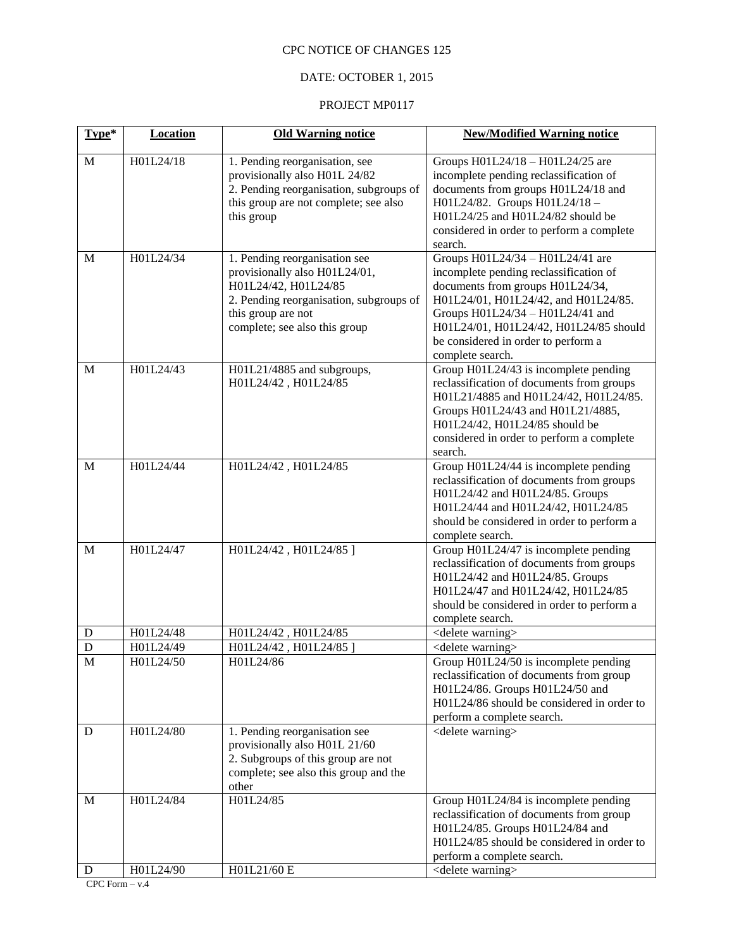## DATE: OCTOBER 1, 2015

## PROJECT MP0117

| Type*          | <b>Location</b> | <b>Old Warning notice</b>                                                                                                                                                                | <b>New/Modified Warning notice</b>                                                                                                                                                                                                                                                              |
|----------------|-----------------|------------------------------------------------------------------------------------------------------------------------------------------------------------------------------------------|-------------------------------------------------------------------------------------------------------------------------------------------------------------------------------------------------------------------------------------------------------------------------------------------------|
| $\mathbf{M}$   | H01L24/18       | 1. Pending reorganisation, see<br>provisionally also H01L 24/82<br>2. Pending reorganisation, subgroups of<br>this group are not complete; see also<br>this group                        | Groups H01L24/18 - H01L24/25 are<br>incomplete pending reclassification of<br>documents from groups H01L24/18 and<br>H01L24/82. Groups H01L24/18-<br>H01L24/25 and H01L24/82 should be<br>considered in order to perform a complete<br>search.                                                  |
| M              | H01L24/34       | 1. Pending reorganisation see<br>provisionally also H01L24/01,<br>H01L24/42, H01L24/85<br>2. Pending reorganisation, subgroups of<br>this group are not<br>complete; see also this group | Groups H01L24/34 - H01L24/41 are<br>incomplete pending reclassification of<br>documents from groups H01L24/34,<br>H01L24/01, H01L24/42, and H01L24/85.<br>Groups H01L24/34 - H01L24/41 and<br>H01L24/01, H01L24/42, H01L24/85 should<br>be considered in order to perform a<br>complete search. |
| M              | H01L24/43       | H01L21/4885 and subgroups,<br>H01L24/42, H01L24/85                                                                                                                                       | Group H01L24/43 is incomplete pending<br>reclassification of documents from groups<br>H01L21/4885 and H01L24/42, H01L24/85.<br>Groups H01L24/43 and H01L21/4885,<br>H01L24/42, H01L24/85 should be<br>considered in order to perform a complete<br>search.                                      |
| $\mathbf{M}$   | H01L24/44       | H01L24/42, H01L24/85                                                                                                                                                                     | Group H01L24/44 is incomplete pending<br>reclassification of documents from groups<br>H01L24/42 and H01L24/85. Groups<br>H01L24/44 and H01L24/42, H01L24/85<br>should be considered in order to perform a<br>complete search.                                                                   |
| M              | H01L24/47       | H01L24/42, H01L24/85]                                                                                                                                                                    | Group H01L24/47 is incomplete pending<br>reclassification of documents from groups<br>H01L24/42 and H01L24/85. Groups<br>H01L24/47 and H01L24/42, H01L24/85<br>should be considered in order to perform a<br>complete search.                                                                   |
| D              | H01L24/48       | H01L24/42, H01L24/85                                                                                                                                                                     | <delete warning=""></delete>                                                                                                                                                                                                                                                                    |
| $\mathbf D$    | H01L24/49       | H01L24/42, H01L24/85                                                                                                                                                                     | <delete warning=""></delete>                                                                                                                                                                                                                                                                    |
| $\overline{M}$ | H01L24/50       | H01L24/86                                                                                                                                                                                | Group H01L24/50 is incomplete pending<br>reclassification of documents from group<br>H01L24/86. Groups H01L24/50 and<br>H01L24/86 should be considered in order to<br>perform a complete search.                                                                                                |
| D              | H01L24/80       | 1. Pending reorganisation see<br>provisionally also H01L 21/60<br>2. Subgroups of this group are not<br>complete; see also this group and the<br>other                                   | <delete warning=""></delete>                                                                                                                                                                                                                                                                    |
| M              | H01L24/84       | H01L24/85                                                                                                                                                                                | Group H01L24/84 is incomplete pending<br>reclassification of documents from group<br>H01L24/85. Groups H01L24/84 and<br>H01L24/85 should be considered in order to<br>perform a complete search.                                                                                                |
| D              | H01L24/90       | H01L21/60 E                                                                                                                                                                              | <delete warning=""></delete>                                                                                                                                                                                                                                                                    |

CPC Form  $- v.4$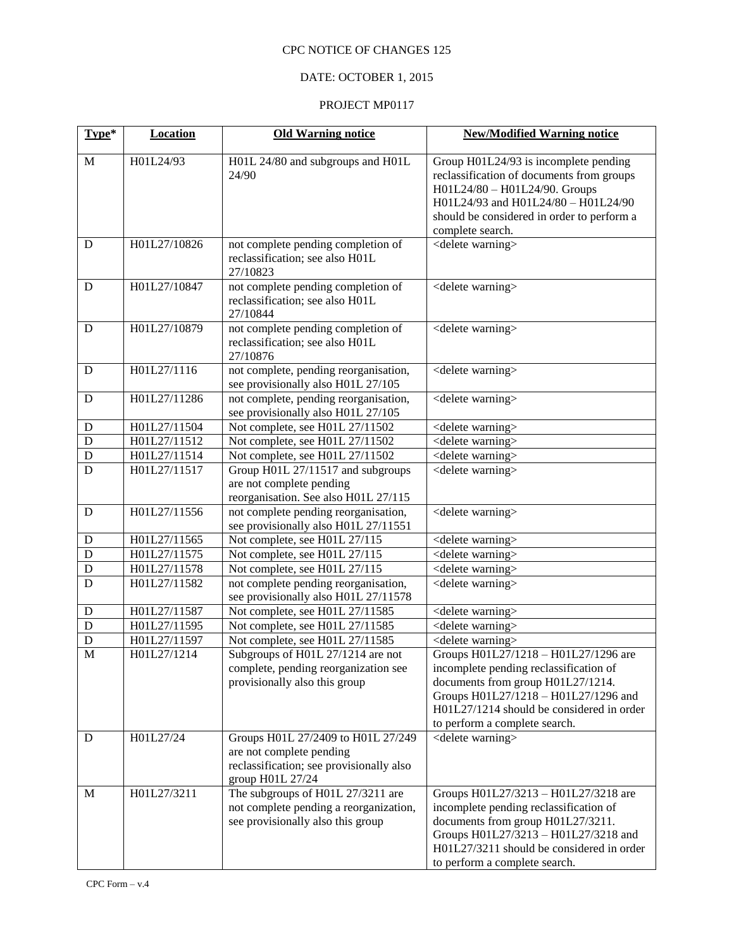## DATE: OCTOBER 1, 2015

| Type*          | <b>Location</b> | <b>Old Warning notice</b>                                                                                                      | <b>New/Modified Warning notice</b>                                                                                                                                                                                                        |
|----------------|-----------------|--------------------------------------------------------------------------------------------------------------------------------|-------------------------------------------------------------------------------------------------------------------------------------------------------------------------------------------------------------------------------------------|
| $\mathbf{M}$   | H01L24/93       | H01L 24/80 and subgroups and H01L<br>24/90                                                                                     | Group H01L24/93 is incomplete pending<br>reclassification of documents from groups<br>H01L24/80 - H01L24/90. Groups<br>H01L24/93 and H01L24/80 - H01L24/90<br>should be considered in order to perform a<br>complete search.              |
| D              | H01L27/10826    | not complete pending completion of<br>reclassification; see also H01L<br>27/10823                                              | <delete warning=""></delete>                                                                                                                                                                                                              |
| D              | H01L27/10847    | not complete pending completion of<br>reclassification; see also H01L<br>27/10844                                              | <delete warning=""></delete>                                                                                                                                                                                                              |
| D              | H01L27/10879    | not complete pending completion of<br>reclassification; see also H01L<br>27/10876                                              | $\overline{\le}$ delete warning>                                                                                                                                                                                                          |
| D              | H01L27/1116     | not complete, pending reorganisation,<br>see provisionally also H01L 27/105                                                    | <delete warning=""></delete>                                                                                                                                                                                                              |
| D              | H01L27/11286    | not complete, pending reorganisation,<br>see provisionally also H01L 27/105                                                    | <delete warning=""></delete>                                                                                                                                                                                                              |
| $\mathbf D$    | H01L27/11504    | Not complete, see H01L 27/11502                                                                                                | <delete warning=""></delete>                                                                                                                                                                                                              |
| $\mathbf D$    | H01L27/11512    | Not complete, see H01L 27/11502                                                                                                | <delete warning=""></delete>                                                                                                                                                                                                              |
| $\mathbf D$    | H01L27/11514    | Not complete, see H01L 27/11502                                                                                                | <delete warning=""></delete>                                                                                                                                                                                                              |
| $\overline{D}$ | H01L27/11517    | Group H01L 27/11517 and subgroups<br>are not complete pending<br>reorganisation. See also H01L 27/115                          | <delete warning=""></delete>                                                                                                                                                                                                              |
| D              | H01L27/11556    | not complete pending reorganisation,<br>see provisionally also H01L 27/11551                                                   | <delete warning=""></delete>                                                                                                                                                                                                              |
| $\mathbf D$    | H01L27/11565    | Not complete, see H01L 27/115                                                                                                  | <delete warning=""></delete>                                                                                                                                                                                                              |
| $\mathbf D$    | H01L27/11575    | Not complete, see H01L 27/115                                                                                                  | <delete warning=""></delete>                                                                                                                                                                                                              |
| $\mathbf D$    | H01L27/11578    | Not complete, see H01L 27/115                                                                                                  | <delete warning=""></delete>                                                                                                                                                                                                              |
| $\mathbf D$    | H01L27/11582    | not complete pending reorganisation,<br>see provisionally also H01L 27/11578                                                   | <delete warning=""></delete>                                                                                                                                                                                                              |
| D              | H01L27/11587    | Not complete, see H01L 27/11585                                                                                                | <delete warning=""></delete>                                                                                                                                                                                                              |
| D              | H01L27/11595    | Not complete, see H01L 27/11585                                                                                                | <delete warning=""></delete>                                                                                                                                                                                                              |
| $\mathbf D$    | H01L27/11597    | Not complete, see H01L 27/11585                                                                                                | <delete warning=""></delete>                                                                                                                                                                                                              |
| M              | H01L27/1214     | Subgroups of H01 $\overline{L}$ 27/1214 are not                                                                                | Groups H01L27/1218 - H01L27/1296 are                                                                                                                                                                                                      |
|                |                 | complete, pending reorganization see<br>provisionally also this group                                                          | incomplete pending reclassification of<br>documents from group H01L27/1214.<br>Groups H01L27/1218 - H01L27/1296 and<br>H01L27/1214 should be considered in order<br>to perform a complete search.                                         |
| D              | H01L27/24       | Groups H01L 27/2409 to H01L 27/249<br>are not complete pending<br>reclassification; see provisionally also<br>group H01L 27/24 | <delete warning=""></delete>                                                                                                                                                                                                              |
| M              | H01L27/3211     | The subgroups of H01L 27/3211 are<br>not complete pending a reorganization,<br>see provisionally also this group               | Groups H01L27/3213 - H01L27/3218 are<br>incomplete pending reclassification of<br>documents from group H01L27/3211.<br>Groups H01L27/3213 - H01L27/3218 and<br>H01L27/3211 should be considered in order<br>to perform a complete search. |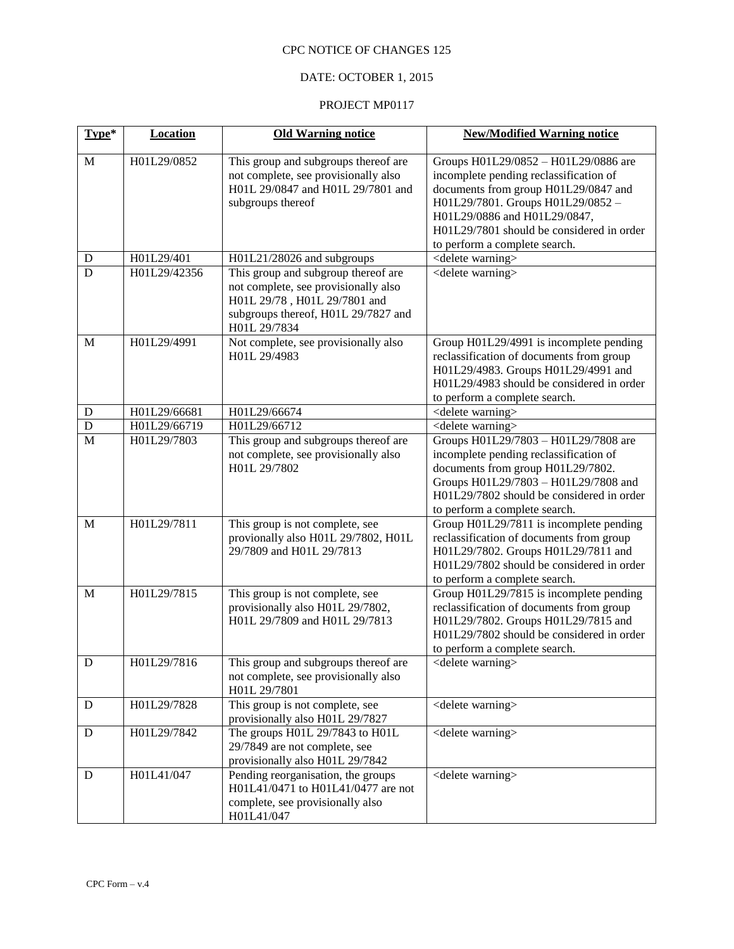## DATE: OCTOBER 1, 2015

| Type*          | <b>Location</b> | <b>Old Warning notice</b>                                                                                                                                          | <b>New/Modified Warning notice</b>                                                                                                                                                                                                                                       |  |
|----------------|-----------------|--------------------------------------------------------------------------------------------------------------------------------------------------------------------|--------------------------------------------------------------------------------------------------------------------------------------------------------------------------------------------------------------------------------------------------------------------------|--|
| $\mathbf{M}$   | H01L29/0852     | This group and subgroups thereof are<br>not complete, see provisionally also<br>H01L 29/0847 and H01L 29/7801 and<br>subgroups thereof                             | Groups H01L29/0852 - H01L29/0886 are<br>incomplete pending reclassification of<br>documents from group H01L29/0847 and<br>H01L29/7801. Groups H01L29/0852-<br>H01L29/0886 and H01L29/0847,<br>H01L29/7801 should be considered in order<br>to perform a complete search. |  |
| ${\bf D}$      | H01L29/401      | H01L21/28026 and subgroups                                                                                                                                         | <delete warning=""></delete>                                                                                                                                                                                                                                             |  |
| D              | H01L29/42356    | This group and subgroup thereof are<br>not complete, see provisionally also<br>H01L 29/78, H01L 29/7801 and<br>subgroups thereof, H01L 29/7827 and<br>H01L 29/7834 | <delete warning=""></delete>                                                                                                                                                                                                                                             |  |
| M              | H01L29/4991     | Not complete, see provisionally also<br>H01L 29/4983                                                                                                               | Group H01L29/4991 is incomplete pending<br>reclassification of documents from group<br>H01L29/4983. Groups H01L29/4991 and<br>H01L29/4983 should be considered in order<br>to perform a complete search.                                                                 |  |
| ${\bf D}$      | H01L29/66681    | H01L29/66674                                                                                                                                                       | <delete warning=""></delete>                                                                                                                                                                                                                                             |  |
| $\overline{D}$ | H01L29/66719    | H01L29/66712                                                                                                                                                       | <delete warning=""></delete>                                                                                                                                                                                                                                             |  |
| $\overline{M}$ | H01L29/7803     | This group and subgroups thereof are<br>not complete, see provisionally also<br>H01L 29/7802                                                                       | Groups H01L29/7803 - H01L29/7808 are<br>incomplete pending reclassification of<br>documents from group H01L29/7802.<br>Groups H01L29/7803 - H01L29/7808 and<br>H01L29/7802 should be considered in order<br>to perform a complete search.                                |  |
| M              | H01L29/7811     | This group is not complete, see<br>provionally also H01L 29/7802, H01L<br>29/7809 and H01L 29/7813                                                                 | Group H01L29/7811 is incomplete pending<br>reclassification of documents from group<br>H01L29/7802. Groups H01L29/7811 and<br>H01L29/7802 should be considered in order<br>to perform a complete search.                                                                 |  |
| $\mathbf M$    | H01L29/7815     | This group is not complete, see<br>provisionally also H01L 29/7802,<br>H01L 29/7809 and H01L 29/7813                                                               | Group H01L29/7815 is incomplete pending<br>reclassification of documents from group<br>H01L29/7802. Groups H01L29/7815 and<br>H01L29/7802 should be considered in order<br>to perform a complete search.                                                                 |  |
| ${\bf D}$      | H01L29/7816     | This group and subgroups thereof are<br>not complete, see provisionally also<br>H01L 29/7801                                                                       | <delete warning=""></delete>                                                                                                                                                                                                                                             |  |
| D              | H01L29/7828     | This group is not complete, see<br>provisionally also H01L 29/7827                                                                                                 | <delete warning=""></delete>                                                                                                                                                                                                                                             |  |
| D              | H01L29/7842     | The groups H01L 29/7843 to H01L<br>29/7849 are not complete, see<br>provisionally also H01L 29/7842                                                                | <delete warning=""></delete>                                                                                                                                                                                                                                             |  |
| D              | H01L41/047      | Pending reorganisation, the groups<br>H01L41/0471 to H01L41/0477 are not<br>complete, see provisionally also<br>H01L41/047                                         | <delete warning=""></delete>                                                                                                                                                                                                                                             |  |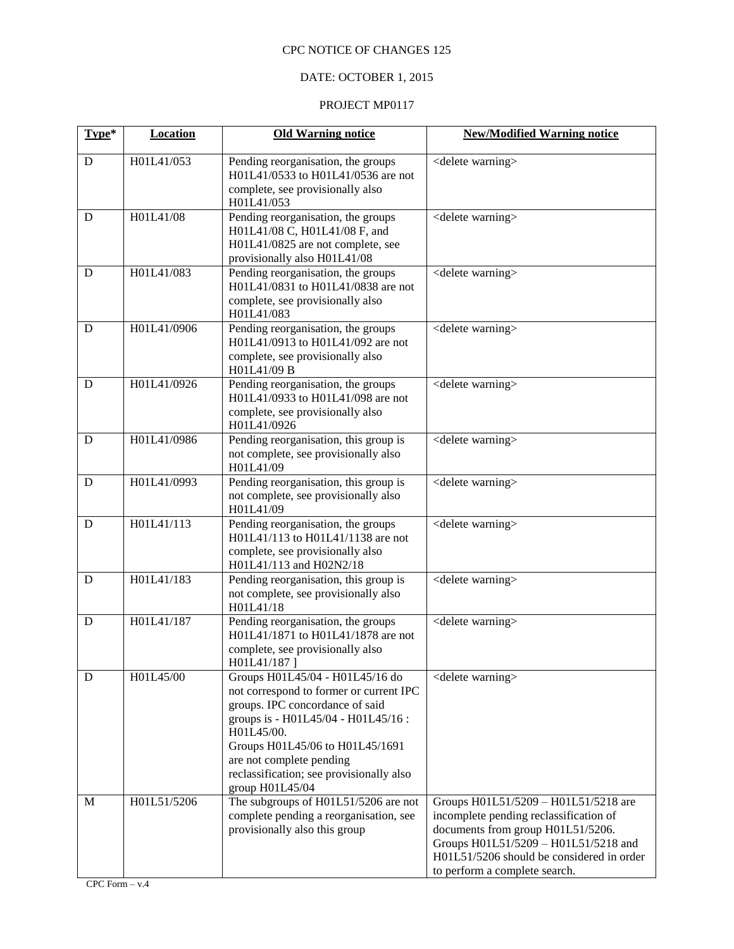## DATE: OCTOBER 1, 2015

| Type* | Location    | <b>Old Warning notice</b>                                                                                                                                                                                                                                                                        | <b>New/Modified Warning notice</b>                                                                                                                                                                                                        |  |
|-------|-------------|--------------------------------------------------------------------------------------------------------------------------------------------------------------------------------------------------------------------------------------------------------------------------------------------------|-------------------------------------------------------------------------------------------------------------------------------------------------------------------------------------------------------------------------------------------|--|
| D     | H01L41/053  | Pending reorganisation, the groups<br>H01L41/0533 to H01L41/0536 are not<br>complete, see provisionally also<br>H01L41/053                                                                                                                                                                       | <delete warning=""></delete>                                                                                                                                                                                                              |  |
| D     | H01L41/08   | Pending reorganisation, the groups<br>H01L41/08 C, H01L41/08 F, and<br>H01L41/0825 are not complete, see<br>provisionally also H01L41/08                                                                                                                                                         | <delete warning=""></delete>                                                                                                                                                                                                              |  |
| D     | H01L41/083  | Pending reorganisation, the groups<br>H01L41/0831 to H01L41/0838 are not<br>complete, see provisionally also<br>H01L41/083                                                                                                                                                                       | <delete warning=""></delete>                                                                                                                                                                                                              |  |
| D     | H01L41/0906 | Pending reorganisation, the groups<br>H01L41/0913 to H01L41/092 are not<br>complete, see provisionally also<br>H01L41/09 B                                                                                                                                                                       | <delete warning=""></delete>                                                                                                                                                                                                              |  |
| D     | H01L41/0926 | Pending reorganisation, the groups<br>H01L41/0933 to H01L41/098 are not<br>complete, see provisionally also<br>H01L41/0926                                                                                                                                                                       | <delete warning=""></delete>                                                                                                                                                                                                              |  |
| D     | H01L41/0986 | Pending reorganisation, this group is<br>not complete, see provisionally also<br>H01L41/09                                                                                                                                                                                                       | <delete warning=""></delete>                                                                                                                                                                                                              |  |
| D     | H01L41/0993 | Pending reorganisation, this group is<br>not complete, see provisionally also<br>H01L41/09                                                                                                                                                                                                       | <delete warning=""></delete>                                                                                                                                                                                                              |  |
| D     | H01L41/113  | Pending reorganisation, the groups<br>H01L41/113 to H01L41/1138 are not<br>complete, see provisionally also<br>H01L41/113 and H02N2/18                                                                                                                                                           | <delete warning=""></delete>                                                                                                                                                                                                              |  |
| D     | H01L41/183  | Pending reorganisation, this group is<br>not complete, see provisionally also<br>H01L41/18                                                                                                                                                                                                       | <delete warning=""></delete>                                                                                                                                                                                                              |  |
| D     | H01L41/187  | Pending reorganisation, the groups<br>H01L41/1871 to H01L41/1878 are not<br>complete, see provisionally also<br>H01L41/187]                                                                                                                                                                      | <delete warning=""></delete>                                                                                                                                                                                                              |  |
| D     | H01L45/00   | Groups H01L45/04 - H01L45/16 do<br>not correspond to former or current IPC<br>groups. IPC concordance of said<br>groups is - H01L45/04 - H01L45/16 :<br>H01L45/00.<br>Groups H01L45/06 to H01L45/1691<br>are not complete pending<br>reclassification; see provisionally also<br>group H01L45/04 | <delete warning=""></delete>                                                                                                                                                                                                              |  |
| М     | H01L51/5206 | The subgroups of H01L51/5206 are not<br>complete pending a reorganisation, see<br>provisionally also this group                                                                                                                                                                                  | Groups H01L51/5209 - H01L51/5218 are<br>incomplete pending reclassification of<br>documents from group H01L51/5206.<br>Groups H01L51/5209 - H01L51/5218 and<br>H01L51/5206 should be considered in order<br>to perform a complete search. |  |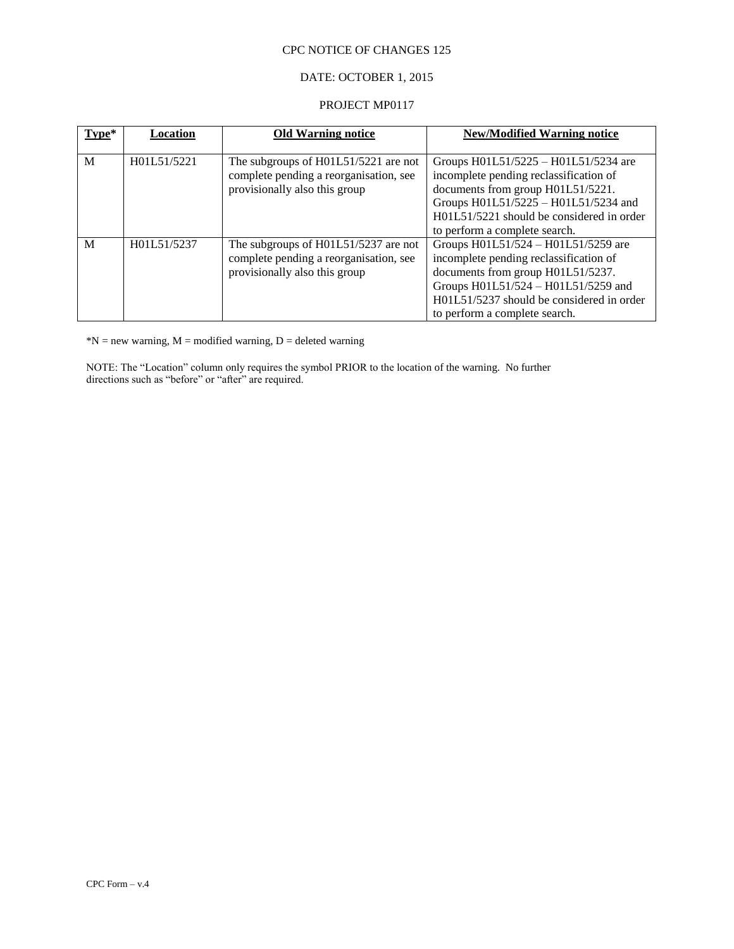## DATE: OCTOBER 1, 2015

#### PROJECT MP0117

| Type* | Location    | <b>Old Warning notice</b>                                                                                       | <b>New/Modified Warning notice</b>                                                                                                                                                                                                        |
|-------|-------------|-----------------------------------------------------------------------------------------------------------------|-------------------------------------------------------------------------------------------------------------------------------------------------------------------------------------------------------------------------------------------|
| M     | H01L51/5221 | The subgroups of H01L51/5221 are not<br>complete pending a reorganisation, see<br>provisionally also this group | Groups H01L51/5225 – H01L51/5234 are<br>incomplete pending reclassification of<br>documents from group H01L51/5221.<br>Groups H01L51/5225 - H01L51/5234 and<br>H01L51/5221 should be considered in order<br>to perform a complete search. |
| M     | H01L51/5237 | The subgroups of H01L51/5237 are not<br>complete pending a reorganisation, see<br>provisionally also this group | Groups H01L51/524 - H01L51/5259 are<br>incomplete pending reclassification of<br>documents from group H01L51/5237.<br>Groups H01L51/524 - H01L51/5259 and<br>H01L51/5237 should be considered in order<br>to perform a complete search.   |

 $*N$  = new warning,  $M$  = modified warning,  $D$  = deleted warning

NOTE: The "Location" column only requires the symbol PRIOR to the location of the warning. No further directions such as "before" or "after" are required.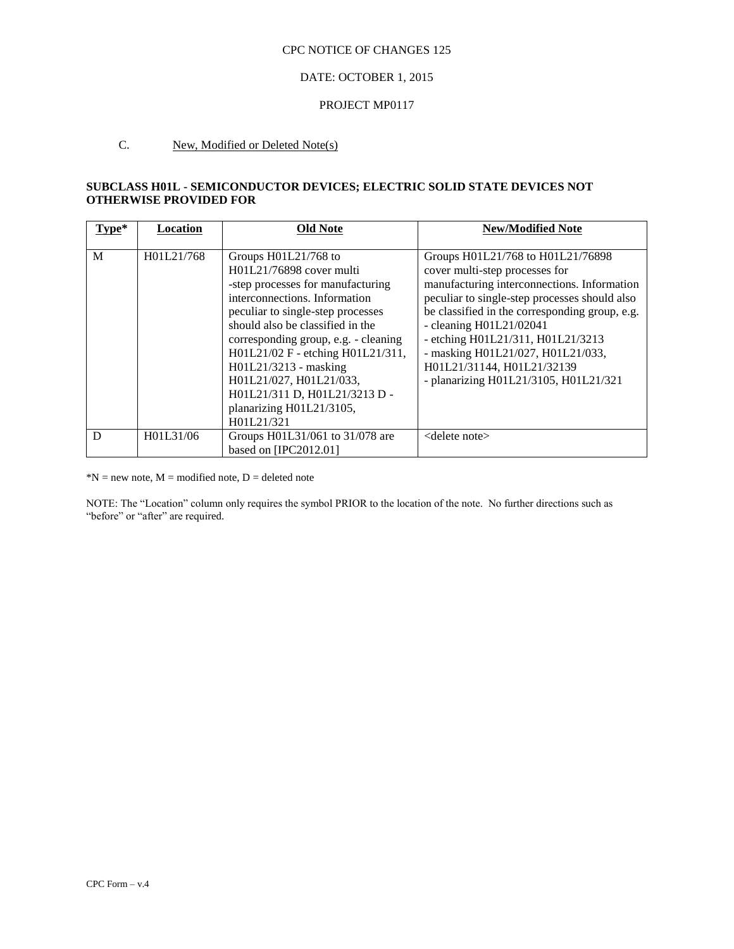#### DATE: OCTOBER 1, 2015

#### PROJECT MP0117

## C. New, Modified or Deleted Note(s)

### **SUBCLASS H01L - SEMICONDUCTOR DEVICES; ELECTRIC SOLID STATE DEVICES NOT OTHERWISE PROVIDED FOR**

| Type* | Location   | Old Note                                                                                                                                                                                                                                                                                                                                                                                                    | <b>New/Modified Note</b>                                                                                                                                                                                                                                                                                                                                                                            |
|-------|------------|-------------------------------------------------------------------------------------------------------------------------------------------------------------------------------------------------------------------------------------------------------------------------------------------------------------------------------------------------------------------------------------------------------------|-----------------------------------------------------------------------------------------------------------------------------------------------------------------------------------------------------------------------------------------------------------------------------------------------------------------------------------------------------------------------------------------------------|
| M     | H01L21/768 | Groups H01L21/768 to<br>H01L21/76898 cover multi<br>-step processes for manufacturing<br>interconnections. Information<br>peculiar to single-step processes<br>should also be classified in the<br>corresponding group, e.g. - cleaning<br>H01L21/02 F - etching H01L21/311,<br>H01L21/3213 - masking<br>H01L21/027, H01L21/033,<br>H01L21/311 D, H01L21/3213 D -<br>planarizing H01L21/3105,<br>H01L21/321 | Groups H01L21/768 to H01L21/76898<br>cover multi-step processes for<br>manufacturing interconnections. Information<br>peculiar to single-step processes should also<br>be classified in the corresponding group, e.g.<br>- cleaning $H01L21/02041$<br>- etching H01L21/311, H01L21/3213<br>- masking H01L21/027, H01L21/033,<br>H01L21/31144, H01L21/32139<br>- planarizing H01L21/3105, H01L21/321 |
| D     | H01L31/06  | Groups H01L31/061 to 31/078 are<br>based on [IPC2012.01]                                                                                                                                                                                                                                                                                                                                                    | $\leq$ delete note $\geq$                                                                                                                                                                                                                                                                                                                                                                           |

 $*N$  = new note, M = modified note, D = deleted note

NOTE: The "Location" column only requires the symbol PRIOR to the location of the note. No further directions such as "before" or "after" are required.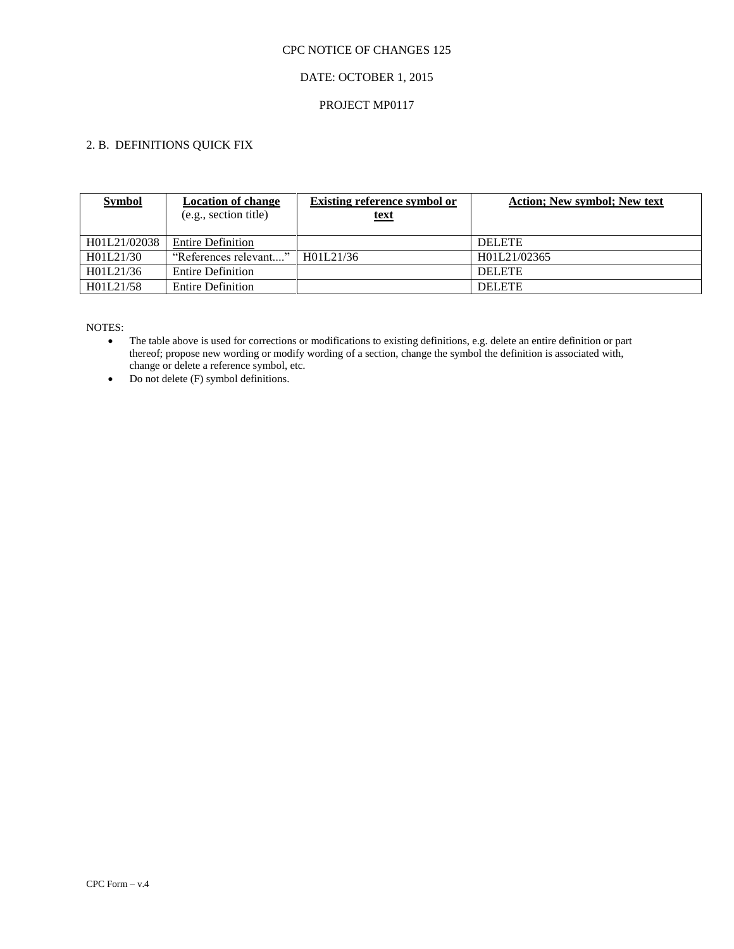## DATE: OCTOBER 1, 2015

#### PROJECT MP0117

# 2. B. DEFINITIONS QUICK FIX

| <b>Symbol</b> | <b>Location of change</b> | <b>Existing reference symbol or</b> | <b>Action</b> ; New symbol; New text |
|---------------|---------------------------|-------------------------------------|--------------------------------------|
|               | (e.g., section title)     | <u>text</u>                         |                                      |
|               |                           |                                     |                                      |
| H01L21/02038  | <b>Entire Definition</b>  |                                     | <b>DELETE</b>                        |
| H01L21/30     | "References relevant"     | H01L21/36                           | H01L21/02365                         |
| H01L21/36     | <b>Entire Definition</b>  |                                     | <b>DELETE</b>                        |
| H01L21/58     | <b>Entire Definition</b>  |                                     | <b>DELETE</b>                        |

- The table above is used for corrections or modifications to existing definitions, e.g. delete an entire definition or part thereof; propose new wording or modify wording of a section, change the symbol the definition is associated with, change or delete a reference symbol, etc.
- Do not delete (F) symbol definitions.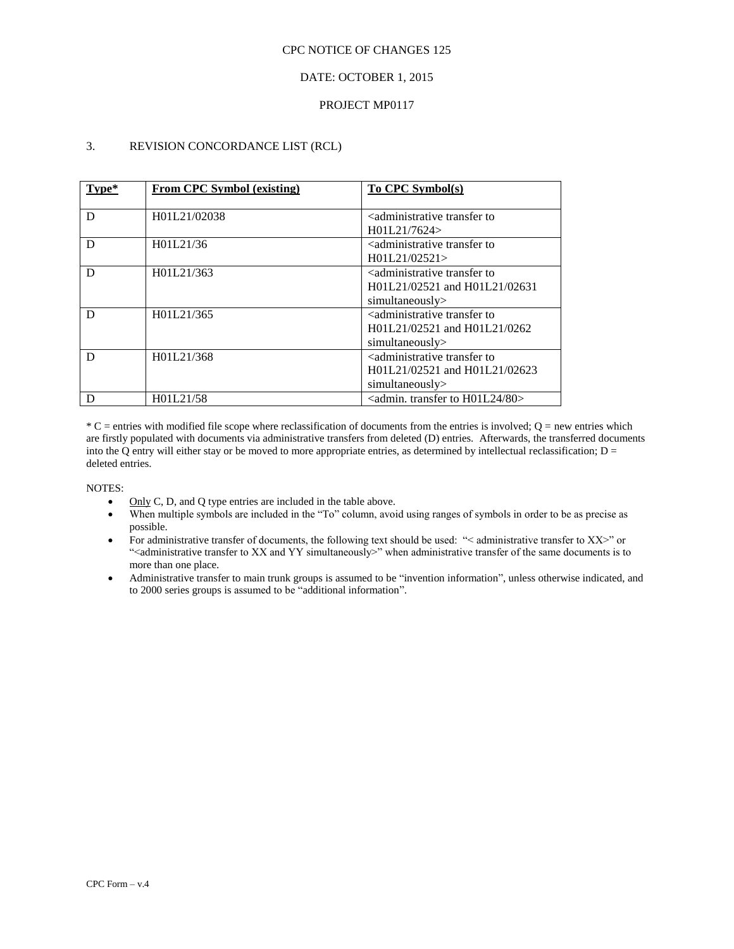### DATE: OCTOBER 1, 2015

#### PROJECT MP0117

### 3. REVISION CONCORDANCE LIST (RCL)

| Tvpe* | <b>From CPC Symbol (existing)</b> | To CPC Symbol(s)                                                                                           |  |
|-------|-----------------------------------|------------------------------------------------------------------------------------------------------------|--|
| D     | H01L21/02038                      | <administrative to<br="" transfer="">H01L21/7624</administrative>                                          |  |
| D     | H01L21/36                         | <administrative to<br="" transfer="">H01L21/02521</administrative>                                         |  |
| D     | H01L21/363                        | <administrative to<br="" transfer="">H01L21/02521 and H01L21/02631<br/>simultaneously&gt;</administrative> |  |
| D     | H01L21/365                        | <administrative to<br="" transfer="">H01L21/02521 and H01L21/0262<br/>simultaneously&gt;</administrative>  |  |
| D     | H01L21/368                        | <administrative to<br="" transfer="">H01L21/02521 and H01L21/02623<br/>simultaneously</administrative>     |  |
| D     | H01L21/58                         | $\alpha$ <admin. 80="" h01l24="" to="" transfer=""></admin.>                                               |  |

 $*C$  = entries with modified file scope where reclassification of documents from the entries is involved;  $Q$  = new entries which are firstly populated with documents via administrative transfers from deleted (D) entries. Afterwards, the transferred documents into the Q entry will either stay or be moved to more appropriate entries, as determined by intellectual reclassification;  $D =$ deleted entries.

- Only C, D, and Q type entries are included in the table above.
- When multiple symbols are included in the "To" column, avoid using ranges of symbols in order to be as precise as possible.
- For administrative transfer of documents, the following text should be used: "< administrative transfer to XX>" or "<administrative transfer to XX and YY simultaneously>" when administrative transfer of the same documents is to more than one place.
- Administrative transfer to main trunk groups is assumed to be "invention information", unless otherwise indicated, and to 2000 series groups is assumed to be "additional information".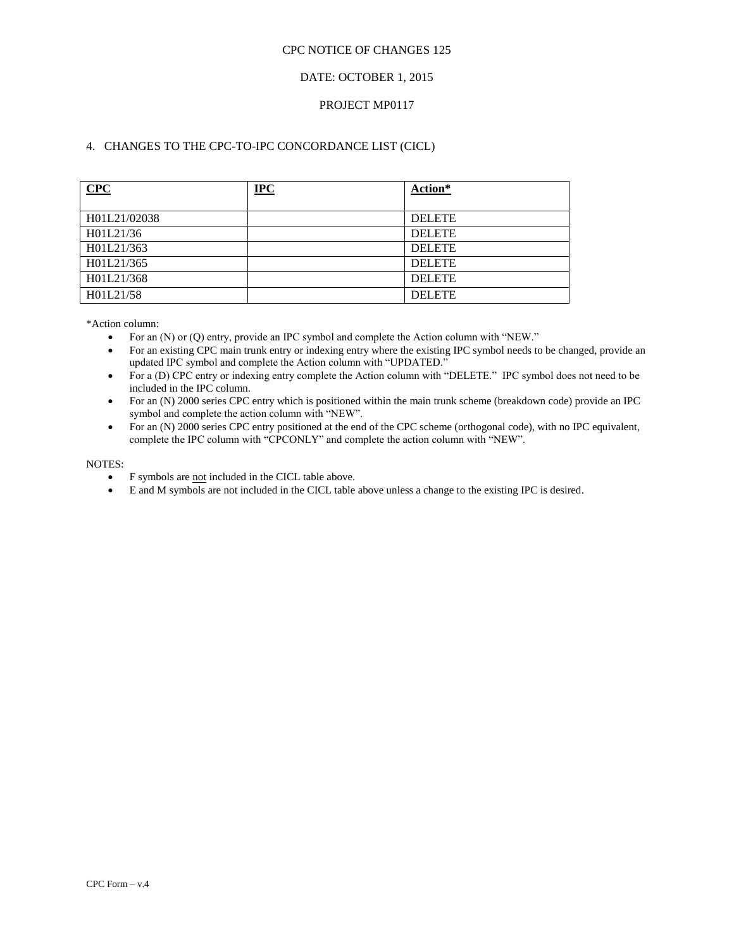### DATE: OCTOBER 1, 2015

### PROJECT MP0117

## 4. CHANGES TO THE CPC-TO-IPC CONCORDANCE LIST (CICL)

| CPC          | <u>IPC</u> | Action*       |
|--------------|------------|---------------|
| H01L21/02038 |            | <b>DELETE</b> |
| H01L21/36    |            | <b>DELETE</b> |
| H01L21/363   |            | <b>DELETE</b> |
| H01L21/365   |            | <b>DELETE</b> |
| H01L21/368   |            | <b>DELETE</b> |
| H01L21/58    |            | <b>DELETE</b> |

\*Action column:

- For an (N) or (Q) entry, provide an IPC symbol and complete the Action column with "NEW."
- For an existing CPC main trunk entry or indexing entry where the existing IPC symbol needs to be changed, provide an updated IPC symbol and complete the Action column with "UPDATED."
- For a (D) CPC entry or indexing entry complete the Action column with "DELETE." IPC symbol does not need to be included in the IPC column.
- For an (N) 2000 series CPC entry which is positioned within the main trunk scheme (breakdown code) provide an IPC symbol and complete the action column with "NEW".
- For an (N) 2000 series CPC entry positioned at the end of the CPC scheme (orthogonal code), with no IPC equivalent, complete the IPC column with "CPCONLY" and complete the action column with "NEW".

- F symbols are not included in the CICL table above.
- E and M symbols are not included in the CICL table above unless a change to the existing IPC is desired.